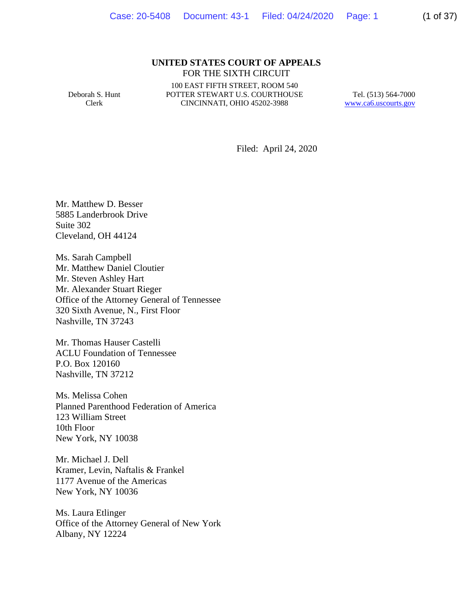#### **UNITED STATES COURT OF APPEALS** FOR THE SIXTH CIRCUIT

Deborah S. Hunt Clerk

100 EAST FIFTH STREET, ROOM 540 POTTER STEWART U.S. COURTHOUSE CINCINNATI, OHIO 45202-3988

Tel. (513) 564-7000 www.ca6.uscourts.gov

Filed: April 24, 2020

Mr. Matthew D. Besser 5885 Landerbrook Drive Suite 302 Cleveland, OH 44124

Ms. Sarah Campbell Mr. Matthew Daniel Cloutier Mr. Steven Ashley Hart Mr. Alexander Stuart Rieger Office of the Attorney General of Tennessee 320 Sixth Avenue, N., First Floor Nashville, TN 37243

Mr. Thomas Hauser Castelli ACLU Foundation of Tennessee P.O. Box 120160 Nashville, TN 37212

Ms. Melissa Cohen Planned Parenthood Federation of America 123 William Street 10th Floor New York, NY 10038

Mr. Michael J. Dell Kramer, Levin, Naftalis & Frankel 1177 Avenue of the Americas New York, NY 10036

Ms. Laura Etlinger Office of the Attorney General of New York Albany, NY 12224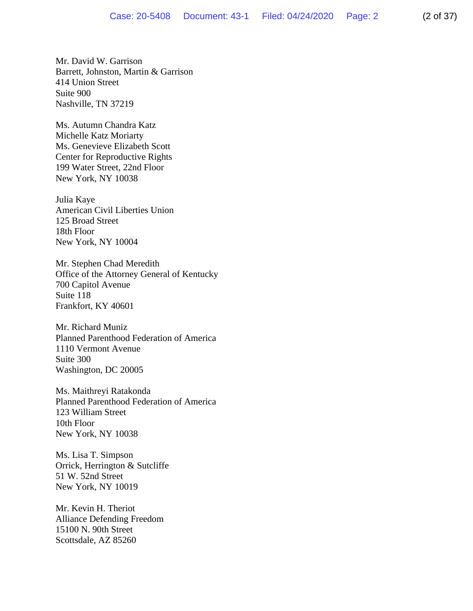Mr. David W. Garrison Barrett, Johnston, Martin & Garrison 414 Union Street Suite 900 Nashville, TN 37219

Ms. Autumn Chandra Katz Michelle Katz Moriarty Ms. Genevieve Elizabeth Scott Center for Reproductive Rights 199 Water Street, 22nd Floor New York, NY 10038

Julia Kaye American Civil Liberties Union 125 Broad Street 18th Floor New York, NY 10004

Mr. Stephen Chad Meredith Office of the Attorney General of Kentucky 700 Capitol Avenue Suite 118 Frankfort, KY 40601

Mr. Richard Muniz Planned Parenthood Federation of America 1110 Vermont Avenue Suite 300 Washington, DC 20005

Ms. Maithreyi Ratakonda Planned Parenthood Federation of America 123 William Street 10th Floor New York, NY 10038

Ms. Lisa T. Simpson Orrick, Herrington & Sutcliffe 51 W. 52nd Street New York, NY 10019

Mr. Kevin H. Theriot Alliance Defending Freedom 15100 N. 90th Street Scottsdale, AZ 85260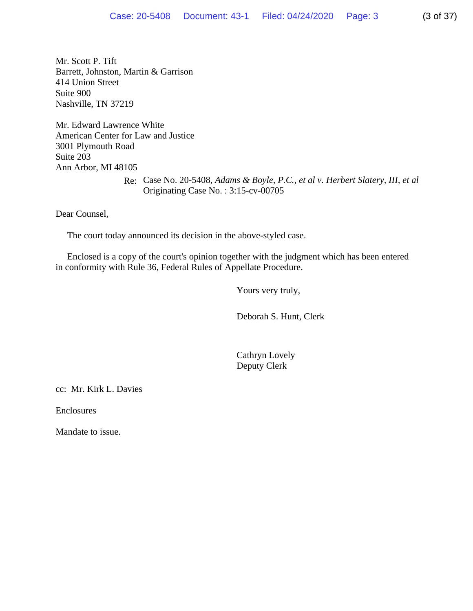Mr. Scott P. Tift Barrett, Johnston, Martin & Garrison 414 Union Street Suite 900 Nashville, TN 37219

Mr. Edward Lawrence White American Center for Law and Justice 3001 Plymouth Road Suite 203 Ann Arbor, MI 48105

> Re: Case No. 20-5408*, Adams & Boyle, P.C., et al v. Herbert Slatery, III, et al* Originating Case No. : 3:15-cv-00705

Dear Counsel,

The court today announced its decision in the above-styled case.

 Enclosed is a copy of the court's opinion together with the judgment which has been entered in conformity with Rule 36, Federal Rules of Appellate Procedure.

Yours very truly,

Deborah S. Hunt, Clerk

 Cathryn Lovely Deputy Clerk

cc: Mr. Kirk L. Davies

Enclosures

Mandate to issue.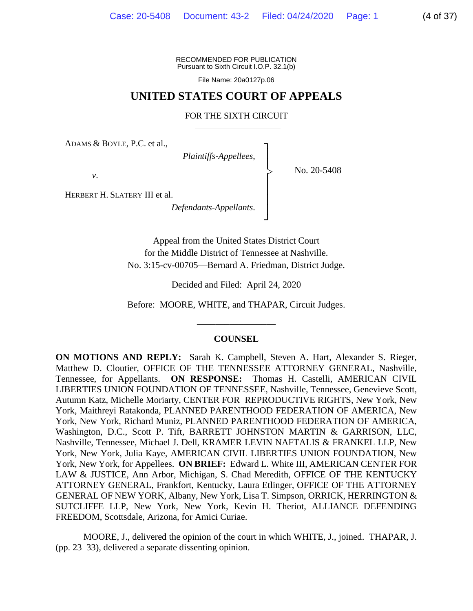RECOMMENDED FOR PUBLICATION Pursuant to Sixth Circuit I.O.P. 32.1(b)

File Name: 20a0127p.06

## **UNITED STATES COURT OF APPEALS**

FOR THE SIXTH CIRCUIT

┐ │ │ │ │ │ │ ┘

|<br>|<br>|

ADAMS & BOYLE, P.C. et al.,

*Plaintiffs-Appellees*,

No. 20-5408

*v*.

HERBERT H. SLATERY III et al.

*Defendants-Appellants*.

Appeal from the United States District Court for the Middle District of Tennessee at Nashville. No. 3:15-cv-00705—Bernard A. Friedman, District Judge.

Decided and Filed: April 24, 2020

Before: MOORE, WHITE, and THAPAR, Circuit Judges.

\_\_\_\_\_\_\_\_\_\_\_\_\_\_\_\_\_

#### **COUNSEL**

**ON MOTIONS AND REPLY:** Sarah K. Campbell, Steven A. Hart, Alexander S. Rieger, Matthew D. Cloutier, OFFICE OF THE TENNESSEE ATTORNEY GENERAL, Nashville, Tennessee, for Appellants. **ON RESPONSE:** Thomas H. Castelli, AMERICAN CIVIL LIBERTIES UNION FOUNDATION OF TENNESSEE, Nashville, Tennessee, Genevieve Scott, Autumn Katz, Michelle Moriarty, CENTER FOR REPRODUCTIVE RIGHTS, New York, New York, Maithreyi Ratakonda, PLANNED PARENTHOOD FEDERATION OF AMERICA, New York, New York, Richard Muniz, PLANNED PARENTHOOD FEDERATION OF AMERICA, Washington, D.C., Scott P. Tift, BARRETT JOHNSTON MARTIN & GARRISON, LLC, Nashville, Tennessee, Michael J. Dell, KRAMER LEVIN NAFTALIS & FRANKEL LLP, New York, New York, Julia Kaye, AMERICAN CIVIL LIBERTIES UNION FOUNDATION, New York, New York, for Appellees. **ON BRIEF:** Edward L. White III, AMERICAN CENTER FOR LAW & JUSTICE, Ann Arbor, Michigan, S. Chad Meredith, OFFICE OF THE KENTUCKY ATTORNEY GENERAL, Frankfort, Kentucky, Laura Etlinger, OFFICE OF THE ATTORNEY GENERAL OF NEW YORK, Albany, New York, Lisa T. Simpson, ORRICK, HERRINGTON & SUTCLIFFE LLP, New York, New York, Kevin H. Theriot, ALLIANCE DEFENDING FREEDOM, Scottsdale, Arizona, for Amici Curiae.

MOORE, J., delivered the opinion of the court in which WHITE, J., joined. THAPAR, J. (pp. 23–33), delivered a separate dissenting opinion.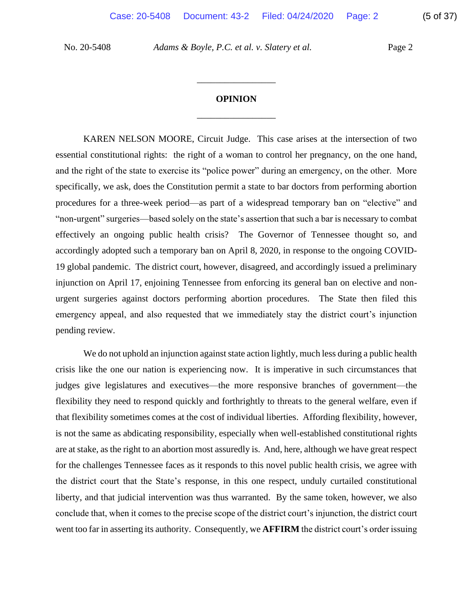# **OPINION** \_\_\_\_\_\_\_\_\_\_\_\_\_\_\_\_\_

\_\_\_\_\_\_\_\_\_\_\_\_\_\_\_\_\_

KAREN NELSON MOORE, Circuit Judge. This case arises at the intersection of two essential constitutional rights: the right of a woman to control her pregnancy, on the one hand, and the right of the state to exercise its "police power" during an emergency, on the other. More specifically, we ask, does the Constitution permit a state to bar doctors from performing abortion procedures for a three-week period—as part of a widespread temporary ban on "elective" and "non-urgent" surgeries—based solely on the state's assertion that such a bar is necessary to combat effectively an ongoing public health crisis? The Governor of Tennessee thought so, and accordingly adopted such a temporary ban on April 8, 2020, in response to the ongoing COVID-19 global pandemic. The district court, however, disagreed, and accordingly issued a preliminary injunction on April 17, enjoining Tennessee from enforcing its general ban on elective and nonurgent surgeries against doctors performing abortion procedures. The State then filed this emergency appeal, and also requested that we immediately stay the district court's injunction pending review.

We do not uphold an injunction against state action lightly, much less during a public health crisis like the one our nation is experiencing now. It is imperative in such circumstances that judges give legislatures and executives—the more responsive branches of government—the flexibility they need to respond quickly and forthrightly to threats to the general welfare, even if that flexibility sometimes comes at the cost of individual liberties. Affording flexibility, however, is not the same as abdicating responsibility, especially when well-established constitutional rights are at stake, as the right to an abortion most assuredly is. And, here, although we have great respect for the challenges Tennessee faces as it responds to this novel public health crisis, we agree with the district court that the State's response, in this one respect, unduly curtailed constitutional liberty, and that judicial intervention was thus warranted. By the same token, however, we also conclude that, when it comes to the precise scope of the district court's injunction, the district court went too far in asserting its authority. Consequently, we **AFFIRM** the district court's order issuing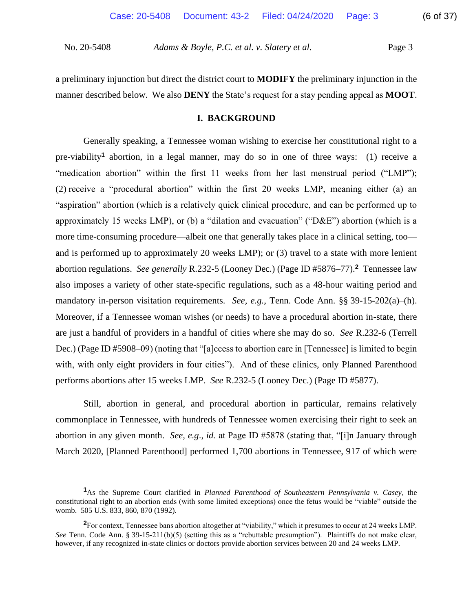a preliminary injunction but direct the district court to **MODIFY** the preliminary injunction in the manner described below. We also **DENY** the State's request for a stay pending appeal as **MOOT**.

## **I. BACKGROUND**

Generally speaking, a Tennessee woman wishing to exercise her constitutional right to a pre-viability**<sup>1</sup>** abortion, in a legal manner, may do so in one of three ways: (1) receive a "medication abortion" within the first 11 weeks from her last menstrual period ("LMP"); (2) receive a "procedural abortion" within the first 20 weeks LMP, meaning either (a) an "aspiration" abortion (which is a relatively quick clinical procedure, and can be performed up to approximately 15 weeks LMP), or (b) a "dilation and evacuation" ("D&E") abortion (which is a more time-consuming procedure—albeit one that generally takes place in a clinical setting, too and is performed up to approximately 20 weeks LMP); or (3) travel to a state with more lenient abortion regulations. *See generally* R.232-5 (Looney Dec.) (Page ID #5876–77).**<sup>2</sup>** Tennessee law also imposes a variety of other state-specific regulations, such as a 48-hour waiting period and mandatory in-person visitation requirements. *See, e.g.*, Tenn. Code Ann. §§ 39-15-202(a)–(h). Moreover, if a Tennessee woman wishes (or needs) to have a procedural abortion in-state, there are just a handful of providers in a handful of cities where she may do so. *See* R.232-6 (Terrell Dec.) (Page ID #5908–09) (noting that "[a]ccess to abortion care in [Tennessee] is limited to begin with, with only eight providers in four cities"). And of these clinics, only Planned Parenthood performs abortions after 15 weeks LMP. *See* R.232-5 (Looney Dec.) (Page ID #5877).

Still, abortion in general, and procedural abortion in particular, remains relatively commonplace in Tennessee, with hundreds of Tennessee women exercising their right to seek an abortion in any given month. *See, e.g*., *id.* at Page ID #5878 (stating that, "[i]n January through March 2020, [Planned Parenthood] performed 1,700 abortions in Tennessee, 917 of which were

**<sup>1</sup>**As the Supreme Court clarified in *Planned Parenthood of Southeastern Pennsylvania v. Casey*, the constitutional right to an abortion ends (with some limited exceptions) once the fetus would be "viable" outside the womb. 505 U.S. 833, 860, 870 (1992).

**<sup>2</sup>**For context, Tennessee bans abortion altogether at "viability," which it presumes to occur at 24 weeks LMP. *See* Tenn. Code Ann. § 39-15-211(b)(5) (setting this as a "rebuttable presumption"). Plaintiffs do not make clear, however, if any recognized in-state clinics or doctors provide abortion services between 20 and 24 weeks LMP.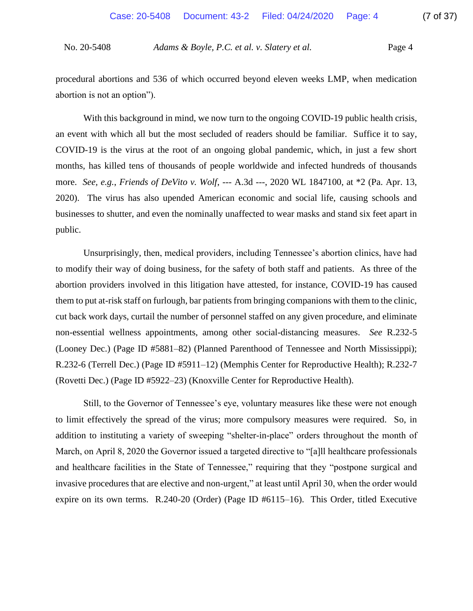procedural abortions and 536 of which occurred beyond eleven weeks LMP, when medication abortion is not an option").

With this background in mind, we now turn to the ongoing COVID-19 public health crisis, an event with which all but the most secluded of readers should be familiar. Suffice it to say, COVID-19 is the virus at the root of an ongoing global pandemic, which, in just a few short months, has killed tens of thousands of people worldwide and infected hundreds of thousands more. *See, e.g.*, *Friends of DeVito v. Wolf*, --- A.3d ---, 2020 WL 1847100, at \*2 (Pa. Apr. 13, 2020). The virus has also upended American economic and social life, causing schools and businesses to shutter, and even the nominally unaffected to wear masks and stand six feet apart in public.

Unsurprisingly, then, medical providers, including Tennessee's abortion clinics, have had to modify their way of doing business, for the safety of both staff and patients. As three of the abortion providers involved in this litigation have attested, for instance, COVID-19 has caused them to put at-risk staff on furlough, bar patients from bringing companions with them to the clinic, cut back work days, curtail the number of personnel staffed on any given procedure, and eliminate non-essential wellness appointments, among other social-distancing measures. *See* R.232-5 (Looney Dec.) (Page ID #5881–82) (Planned Parenthood of Tennessee and North Mississippi); R.232-6 (Terrell Dec.) (Page ID #5911–12) (Memphis Center for Reproductive Health); R.232-7 (Rovetti Dec.) (Page ID #5922–23) (Knoxville Center for Reproductive Health).

Still, to the Governor of Tennessee's eye, voluntary measures like these were not enough to limit effectively the spread of the virus; more compulsory measures were required. So, in addition to instituting a variety of sweeping "shelter-in-place" orders throughout the month of March, on April 8, 2020 the Governor issued a targeted directive to "[a]ll healthcare professionals and healthcare facilities in the State of Tennessee," requiring that they "postpone surgical and invasive procedures that are elective and non-urgent," at least until April 30, when the order would expire on its own terms. R.240-20 (Order) (Page ID #6115–16). This Order, titled Executive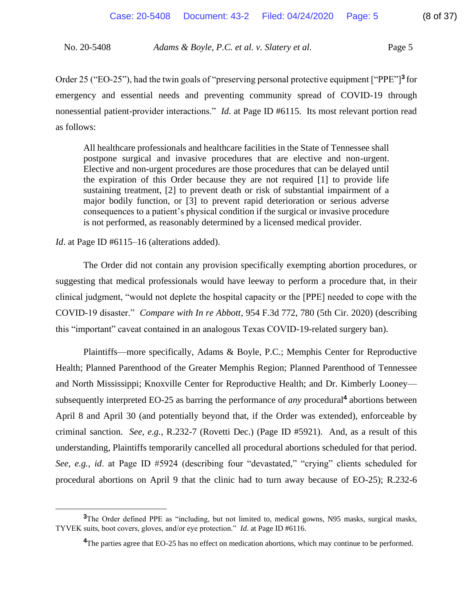Order 25 ("EO-25"), had the twin goals of "preserving personal protective equipment ["PPE"]**<sup>3</sup>** for emergency and essential needs and preventing community spread of COVID-19 through nonessential patient-provider interactions." *Id*. at Page ID #6115. Its most relevant portion read as follows:

All healthcare professionals and healthcare facilities in the State of Tennessee shall postpone surgical and invasive procedures that are elective and non-urgent. Elective and non-urgent procedures are those procedures that can be delayed until the expiration of this Order because they are not required [1] to provide life sustaining treatment, [2] to prevent death or risk of substantial impairment of a major bodily function, or [3] to prevent rapid deterioration or serious adverse consequences to a patient's physical condition if the surgical or invasive procedure is not performed, as reasonably determined by a licensed medical provider.

*Id*. at Page ID #6115–16 (alterations added).

The Order did not contain any provision specifically exempting abortion procedures, or suggesting that medical professionals would have leeway to perform a procedure that, in their clinical judgment, "would not deplete the hospital capacity or the [PPE] needed to cope with the COVID-19 disaster." *Compare with In re Abbott*, 954 F.3d 772, 780 (5th Cir. 2020) (describing this "important" caveat contained in an analogous Texas COVID-19-related surgery ban).

Plaintiffs—more specifically, Adams & Boyle, P.C.; Memphis Center for Reproductive Health; Planned Parenthood of the Greater Memphis Region; Planned Parenthood of Tennessee and North Mississippi; Knoxville Center for Reproductive Health; and Dr. Kimberly Looney subsequently interpreted EO-25 as barring the performance of *any* procedural**<sup>4</sup>** abortions between April 8 and April 30 (and potentially beyond that, if the Order was extended), enforceable by criminal sanction. *See, e.g.*, R.232-7 (Rovetti Dec.) (Page ID #5921). And, as a result of this understanding, Plaintiffs temporarily cancelled all procedural abortions scheduled for that period. *See, e.g.*, *id*. at Page ID #5924 (describing four "devastated," "crying" clients scheduled for procedural abortions on April 9 that the clinic had to turn away because of EO-25); R.232-6

<sup>&</sup>lt;sup>3</sup>The Order defined PPE as "including, but not limited to, medical gowns, N95 masks, surgical masks, TYVEK suits, boot covers, gloves, and/or eye protection." *Id*. at Page ID #6116.

<sup>&</sup>lt;sup>4</sup>The parties agree that EO-25 has no effect on medication abortions, which may continue to be performed.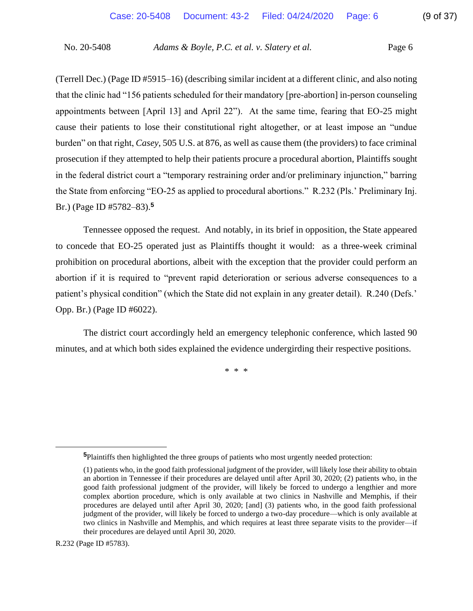(Terrell Dec.) (Page ID #5915–16) (describing similar incident at a different clinic, and also noting that the clinic had "156 patients scheduled for their mandatory [pre-abortion] in-person counseling appointments between [April 13] and April 22"). At the same time, fearing that EO-25 might cause their patients to lose their constitutional right altogether, or at least impose an "undue burden" on that right, *Casey*, 505 U.S. at 876, as well as cause them (the providers) to face criminal prosecution if they attempted to help their patients procure a procedural abortion, Plaintiffs sought in the federal district court a "temporary restraining order and/or preliminary injunction," barring the State from enforcing "EO-25 as applied to procedural abortions." R.232 (Pls.' Preliminary Inj. Br.) (Page ID #5782–83).**<sup>5</sup>**

Tennessee opposed the request. And notably, in its brief in opposition, the State appeared to concede that EO-25 operated just as Plaintiffs thought it would: as a three-week criminal prohibition on procedural abortions, albeit with the exception that the provider could perform an abortion if it is required to "prevent rapid deterioration or serious adverse consequences to a patient's physical condition" (which the State did not explain in any greater detail). R.240 (Defs.' Opp. Br.) (Page ID #6022).

The district court accordingly held an emergency telephonic conference, which lasted 90 minutes, and at which both sides explained the evidence undergirding their respective positions.

\* \* \*

R.232 (Page ID #5783).

**<sup>5</sup>**Plaintiffs then highlighted the three groups of patients who most urgently needed protection:

<sup>(1)</sup> patients who, in the good faith professional judgment of the provider, will likely lose their ability to obtain an abortion in Tennessee if their procedures are delayed until after April 30, 2020; (2) patients who, in the good faith professional judgment of the provider, will likely be forced to undergo a lengthier and more complex abortion procedure, which is only available at two clinics in Nashville and Memphis, if their procedures are delayed until after April 30, 2020; [and] (3) patients who, in the good faith professional judgment of the provider, will likely be forced to undergo a two-day procedure—which is only available at two clinics in Nashville and Memphis, and which requires at least three separate visits to the provider—if their procedures are delayed until April 30, 2020.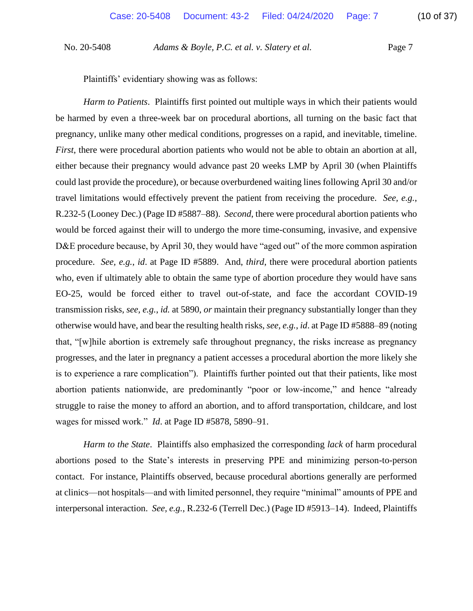Plaintiffs' evidentiary showing was as follows:

*Harm to Patients*. Plaintiffs first pointed out multiple ways in which their patients would be harmed by even a three-week bar on procedural abortions, all turning on the basic fact that pregnancy, unlike many other medical conditions, progresses on a rapid, and inevitable, timeline. *First*, there were procedural abortion patients who would not be able to obtain an abortion at all, either because their pregnancy would advance past 20 weeks LMP by April 30 (when Plaintiffs could last provide the procedure), or because overburdened waiting lines following April 30 and/or travel limitations would effectively prevent the patient from receiving the procedure. *See, e.g.*, R.232-5 (Looney Dec.) (Page ID #5887–88). *Second*, there were procedural abortion patients who would be forced against their will to undergo the more time-consuming, invasive, and expensive D&E procedure because, by April 30, they would have "aged out" of the more common aspiration procedure. *See, e.g.*, *id*. at Page ID #5889. And, *third*, there were procedural abortion patients who, even if ultimately able to obtain the same type of abortion procedure they would have sans EO-25, would be forced either to travel out-of-state, and face the accordant COVID-19 transmission risks, *see, e.g.*, *id.* at 5890, *or* maintain their pregnancy substantially longer than they otherwise would have, and bear the resulting health risks, *see, e.g.*, *id*. at Page ID #5888–89 (noting that, "[w]hile abortion is extremely safe throughout pregnancy, the risks increase as pregnancy progresses, and the later in pregnancy a patient accesses a procedural abortion the more likely she is to experience a rare complication"). Plaintiffs further pointed out that their patients, like most abortion patients nationwide, are predominantly "poor or low-income," and hence "already struggle to raise the money to afford an abortion, and to afford transportation, childcare, and lost wages for missed work." *Id*. at Page ID #5878, 5890–91.

*Harm to the State*. Plaintiffs also emphasized the corresponding *lack* of harm procedural abortions posed to the State's interests in preserving PPE and minimizing person-to-person contact. For instance, Plaintiffs observed, because procedural abortions generally are performed at clinics—not hospitals—and with limited personnel, they require "minimal" amounts of PPE and interpersonal interaction. *See, e.g.*, R.232-6 (Terrell Dec.) (Page ID #5913–14). Indeed, Plaintiffs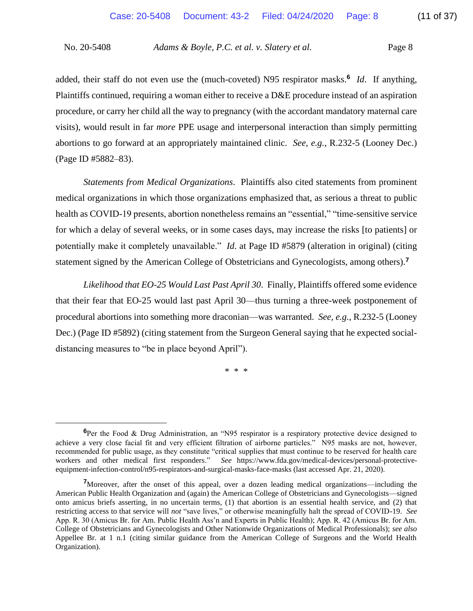added, their staff do not even use the (much-coveted) N95 respirator masks.**<sup>6</sup>** *Id*. If anything, Plaintiffs continued, requiring a woman either to receive a D&E procedure instead of an aspiration procedure, or carry her child all the way to pregnancy (with the accordant mandatory maternal care visits), would result in far *more* PPE usage and interpersonal interaction than simply permitting abortions to go forward at an appropriately maintained clinic. *See, e.g.*, R.232-5 (Looney Dec.) (Page ID #5882–83).

*Statements from Medical Organizations*. Plaintiffs also cited statements from prominent medical organizations in which those organizations emphasized that, as serious a threat to public health as COVID-19 presents, abortion nonetheless remains an "essential," "time-sensitive service for which a delay of several weeks, or in some cases days, may increase the risks [to patients] or potentially make it completely unavailable." *Id*. at Page ID #5879 (alteration in original) (citing statement signed by the American College of Obstetricians and Gynecologists, among others).**<sup>7</sup>**

*Likelihood that EO-25 Would Last Past April 30*. Finally, Plaintiffs offered some evidence that their fear that EO-25 would last past April 30—thus turning a three-week postponement of procedural abortions into something more draconian—was warranted. *See, e.g.*, R.232-5 (Looney Dec.) (Page ID #5892) (citing statement from the Surgeon General saying that he expected socialdistancing measures to "be in place beyond April").

\* \* \*

**<sup>6</sup>**Per the Food & Drug Administration, an "N95 respirator is a respiratory protective device designed to achieve a very close facial fit and very efficient filtration of airborne particles." N95 masks are not, however, recommended for public usage, as they constitute "critical supplies that must continue to be reserved for health care workers and other medical first responders." *See* https://www.fda.gov/medical-devices/personal-protectiveequipment-infection-control/n95-respirators-and-surgical-masks-face-masks (last accessed Apr. 21, 2020).

**<sup>7</sup>**Moreover, after the onset of this appeal, over a dozen leading medical organizations—including the American Public Health Organization and (again) the American College of Obstetricians and Gynecologists—signed onto amicus briefs asserting, in no uncertain terms, (1) that abortion is an essential health service, and (2) that restricting access to that service will *not* "save lives," or otherwise meaningfully halt the spread of COVID-19. *See* App. R. 30 (Amicus Br. for Am. Public Health Ass'n and Experts in Public Health); App. R. 42 (Amicus Br. for Am. College of Obstetricians and Gynecologists and Other Nationwide Organizations of Medical Professionals); *see also* Appellee Br. at 1 n.1 (citing similar guidance from the American College of Surgeons and the World Health Organization).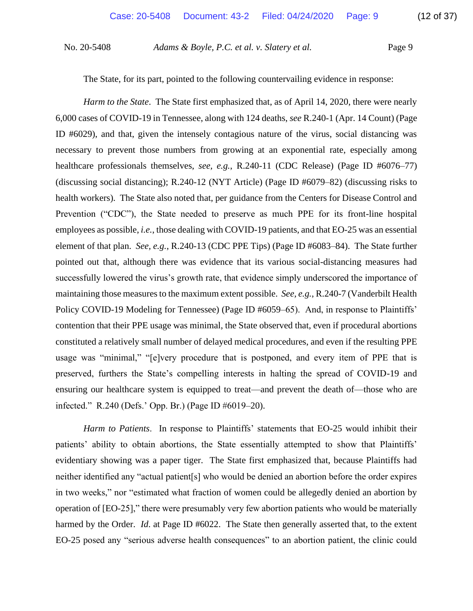The State, for its part, pointed to the following countervailing evidence in response:

*Harm to the State*. The State first emphasized that, as of April 14, 2020, there were nearly 6,000 cases of COVID-19 in Tennessee, along with 124 deaths, *see* R.240-1 (Apr. 14 Count) (Page ID #6029), and that, given the intensely contagious nature of the virus, social distancing was necessary to prevent those numbers from growing at an exponential rate, especially among healthcare professionals themselves, *see, e.g.*, R.240-11 (CDC Release) (Page ID #6076–77) (discussing social distancing); R.240-12 (NYT Article) (Page ID #6079–82) (discussing risks to health workers). The State also noted that, per guidance from the Centers for Disease Control and Prevention ("CDC"), the State needed to preserve as much PPE for its front-line hospital employees as possible, *i.e.*, those dealing with COVID-19 patients, and that EO-25 was an essential element of that plan. *See, e.g.*, R.240-13 (CDC PPE Tips) (Page ID #6083–84). The State further pointed out that, although there was evidence that its various social-distancing measures had successfully lowered the virus's growth rate, that evidence simply underscored the importance of maintaining those measures to the maximum extent possible. *See, e.g.*, R.240-7 (Vanderbilt Health Policy COVID-19 Modeling for Tennessee) (Page ID #6059–65). And, in response to Plaintiffs' contention that their PPE usage was minimal, the State observed that, even if procedural abortions constituted a relatively small number of delayed medical procedures, and even if the resulting PPE usage was "minimal," "[e]very procedure that is postponed, and every item of PPE that is preserved, furthers the State's compelling interests in halting the spread of COVID-19 and ensuring our healthcare system is equipped to treat—and prevent the death of—those who are infected." R.240 (Defs.' Opp. Br.) (Page ID #6019–20).

*Harm to Patients*. In response to Plaintiffs' statements that EO-25 would inhibit their patients' ability to obtain abortions, the State essentially attempted to show that Plaintiffs' evidentiary showing was a paper tiger. The State first emphasized that, because Plaintiffs had neither identified any "actual patient[s] who would be denied an abortion before the order expires in two weeks," nor "estimated what fraction of women could be allegedly denied an abortion by operation of [EO-25]," there were presumably very few abortion patients who would be materially harmed by the Order. *Id.* at Page ID #6022. The State then generally asserted that, to the extent EO-25 posed any "serious adverse health consequences" to an abortion patient, the clinic could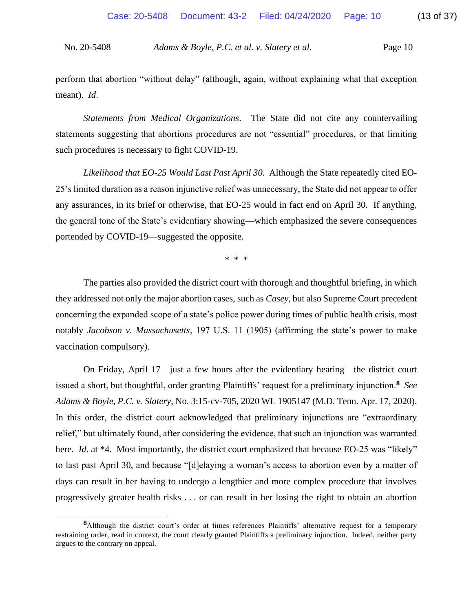perform that abortion "without delay" (although, again, without explaining what that exception meant). *Id*.

*Statements from Medical Organizations*. The State did not cite any countervailing statements suggesting that abortions procedures are not "essential" procedures, or that limiting such procedures is necessary to fight COVID-19.

*Likelihood that EO-25 Would Last Past April 30*. Although the State repeatedly cited EO-25's limited duration as a reason injunctive relief was unnecessary, the State did not appear to offer any assurances, in its brief or otherwise, that EO-25 would in fact end on April 30. If anything, the general tone of the State's evidentiary showing—which emphasized the severe consequences portended by COVID-19—suggested the opposite.

\* \* \*

The parties also provided the district court with thorough and thoughtful briefing, in which they addressed not only the major abortion cases, such as *Casey*, but also Supreme Court precedent concerning the expanded scope of a state's police power during times of public health crisis, most notably *Jacobson v. Massachusetts*, 197 U.S. 11 (1905) (affirming the state's power to make vaccination compulsory).

On Friday, April 17—just a few hours after the evidentiary hearing—the district court issued a short, but thoughtful, order granting Plaintiffs' request for a preliminary injunction.**<sup>8</sup>** *See Adams & Boyle, P.C. v. Slatery*, No. 3:15-cv-705, 2020 WL 1905147 (M.D. Tenn. Apr. 17, 2020). In this order, the district court acknowledged that preliminary injunctions are "extraordinary relief," but ultimately found, after considering the evidence, that such an injunction was warranted here. *Id.* at \*4. Most importantly, the district court emphasized that because EO-25 was "likely" to last past April 30, and because "[d]elaying a woman's access to abortion even by a matter of days can result in her having to undergo a lengthier and more complex procedure that involves progressively greater health risks . . . or can result in her losing the right to obtain an abortion

**<sup>8</sup>**Although the district court's order at times references Plaintiffs' alternative request for a temporary restraining order, read in context, the court clearly granted Plaintiffs a preliminary injunction. Indeed, neither party argues to the contrary on appeal.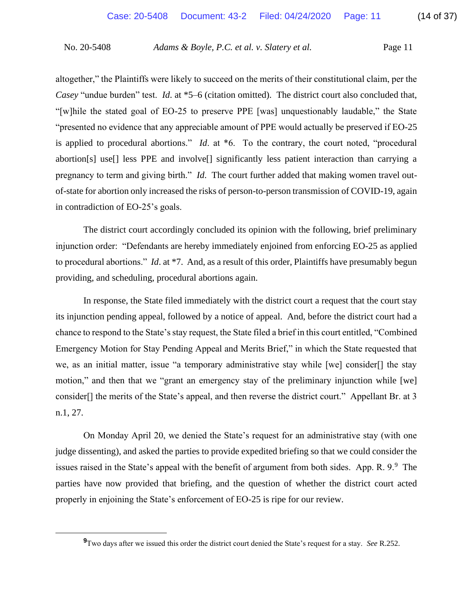altogether," the Plaintiffs were likely to succeed on the merits of their constitutional claim, per the *Casey* "undue burden" test. *Id*. at \*5–6 (citation omitted). The district court also concluded that, "[w]hile the stated goal of EO-25 to preserve PPE [was] unquestionably laudable," the State "presented no evidence that any appreciable amount of PPE would actually be preserved if EO-25 is applied to procedural abortions." *Id*. at \*6. To the contrary, the court noted, "procedural abortion[s] use[] less PPE and involve[] significantly less patient interaction than carrying a pregnancy to term and giving birth." *Id*. The court further added that making women travel outof-state for abortion only increased the risks of person-to-person transmission of COVID-19, again in contradiction of EO-25's goals.

The district court accordingly concluded its opinion with the following, brief preliminary injunction order: "Defendants are hereby immediately enjoined from enforcing EO-25 as applied to procedural abortions." *Id*. at \*7. And, as a result of this order, Plaintiffs have presumably begun providing, and scheduling, procedural abortions again.

In response, the State filed immediately with the district court a request that the court stay its injunction pending appeal, followed by a notice of appeal. And, before the district court had a chance to respond to the State's stay request, the State filed a brief in this court entitled, "Combined Emergency Motion for Stay Pending Appeal and Merits Brief," in which the State requested that we, as an initial matter, issue "a temporary administrative stay while [we] consider[] the stay motion," and then that we "grant an emergency stay of the preliminary injunction while [we] consider[] the merits of the State's appeal, and then reverse the district court." Appellant Br. at 3 n.1, 27.

On Monday April 20, we denied the State's request for an administrative stay (with one judge dissenting), and asked the parties to provide expedited briefing so that we could consider the issues raised in the State's appeal with the benefit of argument from both sides. App. R.  $9.9$  The parties have now provided that briefing, and the question of whether the district court acted properly in enjoining the State's enforcement of EO-25 is ripe for our review.

**<sup>9</sup>**Two days after we issued this order the district court denied the State's request for a stay. *See* R.252.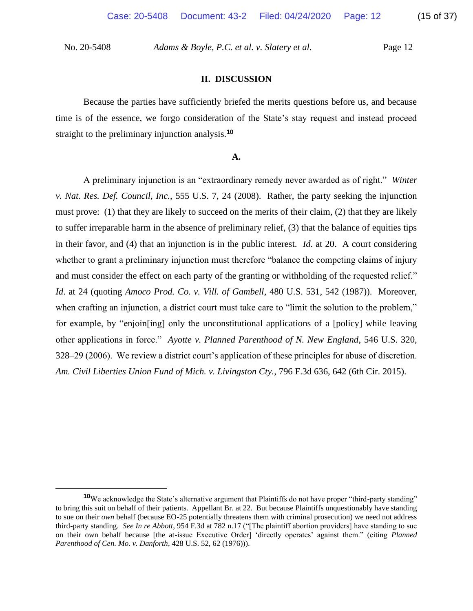### **II. DISCUSSION**

Because the parties have sufficiently briefed the merits questions before us, and because time is of the essence, we forgo consideration of the State's stay request and instead proceed straight to the preliminary injunction analysis.**<sup>10</sup>**

#### **A.**

A preliminary injunction is an "extraordinary remedy never awarded as of right." *Winter v. Nat. Res. Def. Council, Inc.*, 555 U.S. 7, 24 (2008). Rather, the party seeking the injunction must prove: (1) that they are likely to succeed on the merits of their claim, (2) that they are likely to suffer irreparable harm in the absence of preliminary relief, (3) that the balance of equities tips in their favor, and (4) that an injunction is in the public interest. *Id*. at 20. A court considering whether to grant a preliminary injunction must therefore "balance the competing claims of injury and must consider the effect on each party of the granting or withholding of the requested relief." *Id*. at 24 (quoting *Amoco Prod. Co. v. Vill. of Gambell*, 480 U.S. 531, 542 (1987)). Moreover, when crafting an injunction, a district court must take care to "limit the solution to the problem," for example, by "enjoin[ing] only the unconstitutional applications of a [policy] while leaving other applications in force." *Ayotte v. Planned Parenthood of N. New England*, 546 U.S. 320, 328–29 (2006). We review a district court's application of these principles for abuse of discretion. *Am. Civil Liberties Union Fund of Mich. v. Livingston Cty.*, 796 F.3d 636, 642 (6th Cir. 2015).

**<sup>10</sup>**We acknowledge the State's alternative argument that Plaintiffs do not have proper "third-party standing" to bring this suit on behalf of their patients. Appellant Br. at 22. But because Plaintiffs unquestionably have standing to sue on their *own* behalf (because EO-25 potentially threatens them with criminal prosecution) we need not address third-party standing. *See In re Abbott*, 954 F.3d at 782 n.17 ("[The plaintiff abortion providers] have standing to sue on their own behalf because [the at-issue Executive Order] 'directly operates' against them." (citing *Planned Parenthood of Cen. Mo. v. Danforth*, 428 U.S. 52, 62 (1976))).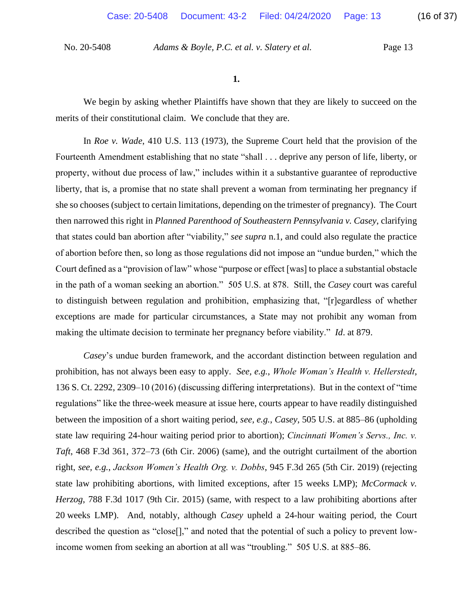**1.**

We begin by asking whether Plaintiffs have shown that they are likely to succeed on the merits of their constitutional claim. We conclude that they are.

In *Roe v. Wade*, 410 U.S. 113 (1973), the Supreme Court held that the provision of the Fourteenth Amendment establishing that no state "shall . . . deprive any person of life, liberty, or property, without due process of law," includes within it a substantive guarantee of reproductive liberty, that is, a promise that no state shall prevent a woman from terminating her pregnancy if she so chooses (subject to certain limitations, depending on the trimester of pregnancy). The Court then narrowed this right in *Planned Parenthood of Southeastern Pennsylvania v. Casey*, clarifying that states could ban abortion after "viability," *see supra* n.1, and could also regulate the practice of abortion before then, so long as those regulations did not impose an "undue burden," which the Court defined as a "provision of law" whose "purpose or effect [was] to place a substantial obstacle in the path of a woman seeking an abortion." 505 U.S. at 878. Still, the *Casey* court was careful to distinguish between regulation and prohibition, emphasizing that, "[r]egardless of whether exceptions are made for particular circumstances, a State may not prohibit any woman from making the ultimate decision to terminate her pregnancy before viability." *Id*. at 879.

*Casey*'s undue burden framework, and the accordant distinction between regulation and prohibition, has not always been easy to apply. *See, e.g.*, *Whole Woman's Health v. Hellerstedt*, 136 S. Ct. 2292, 2309–10 (2016) (discussing differing interpretations). But in the context of "time regulations" like the three-week measure at issue here, courts appear to have readily distinguished between the imposition of a short waiting period, *see, e.g.*, *Casey*, 505 U.S. at 885–86 (upholding state law requiring 24-hour waiting period prior to abortion); *Cincinnati Women's Servs., Inc. v. Taft*, 468 F.3d 361, 372–73 (6th Cir. 2006) (same), and the outright curtailment of the abortion right, *see, e.g.*, *Jackson Women's Health Org. v. Dobbs*, 945 F.3d 265 (5th Cir. 2019) (rejecting state law prohibiting abortions, with limited exceptions, after 15 weeks LMP); *McCormack v. Herzog*, 788 F.3d 1017 (9th Cir. 2015) (same, with respect to a law prohibiting abortions after 20 weeks LMP). And, notably, although *Casey* upheld a 24-hour waiting period, the Court described the question as "close[]," and noted that the potential of such a policy to prevent lowincome women from seeking an abortion at all was "troubling." 505 U.S. at 885–86.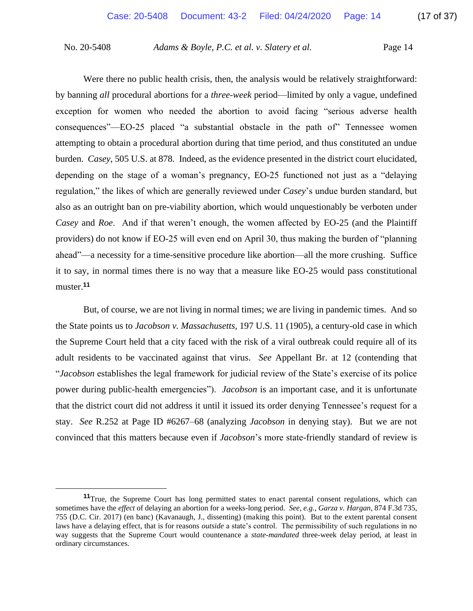Were there no public health crisis, then, the analysis would be relatively straightforward: by banning *all* procedural abortions for a *three-week* period—limited by only a vague, undefined exception for women who needed the abortion to avoid facing "serious adverse health consequences"—EO-25 placed "a substantial obstacle in the path of" Tennessee women attempting to obtain a procedural abortion during that time period, and thus constituted an undue burden. *Casey*, 505 U.S. at 878. Indeed, as the evidence presented in the district court elucidated, depending on the stage of a woman's pregnancy, EO-25 functioned not just as a "delaying regulation," the likes of which are generally reviewed under *Casey*'s undue burden standard, but also as an outright ban on pre-viability abortion, which would unquestionably be verboten under *Casey* and *Roe*. And if that weren't enough, the women affected by EO-25 (and the Plaintiff providers) do not know if EO-25 will even end on April 30, thus making the burden of "planning ahead"—a necessity for a time-sensitive procedure like abortion—all the more crushing. Suffice it to say, in normal times there is no way that a measure like EO-25 would pass constitutional muster.**<sup>11</sup>**

But, of course, we are not living in normal times; we are living in pandemic times. And so the State points us to *Jacobson v. Massachusetts*, 197 U.S. 11 (1905), a century-old case in which the Supreme Court held that a city faced with the risk of a viral outbreak could require all of its adult residents to be vaccinated against that virus. *See* Appellant Br. at 12 (contending that "*Jacobson* establishes the legal framework for judicial review of the State's exercise of its police power during public-health emergencies"). *Jacobson* is an important case, and it is unfortunate that the district court did not address it until it issued its order denying Tennessee's request for a stay. *See* R.252 at Page ID #6267–68 (analyzing *Jacobson* in denying stay). But we are not convinced that this matters because even if *Jacobson*'s more state-friendly standard of review is

**<sup>11</sup>**True, the Supreme Court has long permitted states to enact parental consent regulations, which can sometimes have the *effect* of delaying an abortion for a weeks-long period. *See, e.g.*, *Garza v. Hargan*, 874 F.3d 735, 755 (D.C. Cir. 2017) (en banc) (Kavanaugh, J., dissenting) (making this point). But to the extent parental consent laws have a delaying effect, that is for reasons *outside* a state's control. The permissibility of such regulations in no way suggests that the Supreme Court would countenance a *state-mandated* three-week delay period, at least in ordinary circumstances.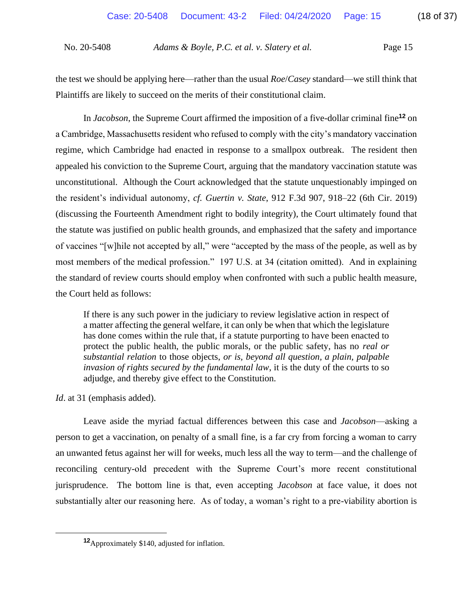the test we should be applying here—rather than the usual *Roe*/*Casey* standard—we still think that Plaintiffs are likely to succeed on the merits of their constitutional claim.

In *Jacobson*, the Supreme Court affirmed the imposition of a five-dollar criminal fine**<sup>12</sup>** on a Cambridge, Massachusetts resident who refused to comply with the city's mandatory vaccination regime, which Cambridge had enacted in response to a smallpox outbreak. The resident then appealed his conviction to the Supreme Court, arguing that the mandatory vaccination statute was unconstitutional. Although the Court acknowledged that the statute unquestionably impinged on the resident's individual autonomy, *cf. Guertin v. State*, 912 F.3d 907, 918–22 (6th Cir. 2019) (discussing the Fourteenth Amendment right to bodily integrity), the Court ultimately found that the statute was justified on public health grounds, and emphasized that the safety and importance of vaccines "[w]hile not accepted by all," were "accepted by the mass of the people, as well as by most members of the medical profession." 197 U.S. at 34 (citation omitted). And in explaining the standard of review courts should employ when confronted with such a public health measure, the Court held as follows:

If there is any such power in the judiciary to review legislative action in respect of a matter affecting the general welfare, it can only be when that which the legislature has done comes within the rule that, if a statute purporting to have been enacted to protect the public health, the public morals, or the public safety, has no *real or substantial relation* to those objects, *or is, beyond all question, a plain, palpable invasion of rights secured by the fundamental law*, it is the duty of the courts to so adjudge, and thereby give effect to the Constitution.

*Id*. at 31 (emphasis added).

Leave aside the myriad factual differences between this case and *Jacobson*—asking a person to get a vaccination, on penalty of a small fine, is a far cry from forcing a woman to carry an unwanted fetus against her will for weeks, much less all the way to term—and the challenge of reconciling century-old precedent with the Supreme Court's more recent constitutional jurisprudence. The bottom line is that, even accepting *Jacobson* at face value, it does not substantially alter our reasoning here. As of today, a woman's right to a pre-viability abortion is

**<sup>12</sup>**Approximately \$140, adjusted for inflation.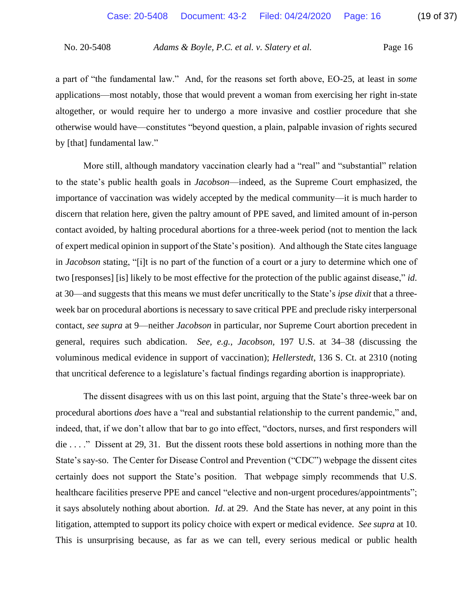a part of "the fundamental law." And, for the reasons set forth above, EO-25, at least in *some* applications—most notably, those that would prevent a woman from exercising her right in-state altogether, or would require her to undergo a more invasive and costlier procedure that she otherwise would have—constitutes "beyond question, a plain, palpable invasion of rights secured by [that] fundamental law."

More still, although mandatory vaccination clearly had a "real" and "substantial" relation to the state's public health goals in *Jacobson*—indeed, as the Supreme Court emphasized, the importance of vaccination was widely accepted by the medical community—it is much harder to discern that relation here, given the paltry amount of PPE saved, and limited amount of in-person contact avoided, by halting procedural abortions for a three-week period (not to mention the lack of expert medical opinion in support of the State's position). And although the State cites language in *Jacobson* stating, "[i]t is no part of the function of a court or a jury to determine which one of two [responses] [is] likely to be most effective for the protection of the public against disease," *id*. at 30—and suggests that this means we must defer uncritically to the State's *ipse dixit* that a threeweek bar on procedural abortions is necessary to save critical PPE and preclude risky interpersonal contact, *see supra* at 9—neither *Jacobson* in particular, nor Supreme Court abortion precedent in general, requires such abdication. *See, e.g.*, *Jacobson,* 197 U.S. at 34–38 (discussing the voluminous medical evidence in support of vaccination); *Hellerstedt*, 136 S. Ct. at 2310 (noting that uncritical deference to a legislature's factual findings regarding abortion is inappropriate).

The dissent disagrees with us on this last point, arguing that the State's three-week bar on procedural abortions *does* have a "real and substantial relationship to the current pandemic," and, indeed, that, if we don't allow that bar to go into effect, "doctors, nurses, and first responders will die . . . ." Dissent at 29, 31. But the dissent roots these bold assertions in nothing more than the State's say-so. The Center for Disease Control and Prevention ("CDC") webpage the dissent cites certainly does not support the State's position. That webpage simply recommends that U.S. healthcare facilities preserve PPE and cancel "elective and non-urgent procedures/appointments"; it says absolutely nothing about abortion. *Id*. at 29. And the State has never, at any point in this litigation, attempted to support its policy choice with expert or medical evidence. *See supra* at 10. This is unsurprising because, as far as we can tell, every serious medical or public health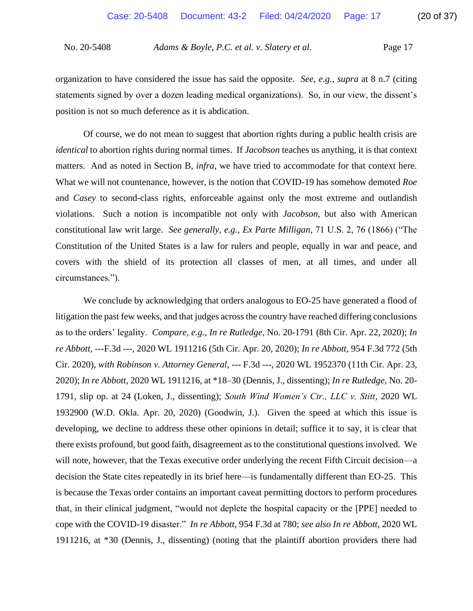organization to have considered the issue has said the opposite. *See, e.g.*, *supra* at 8 n.7 (citing statements signed by over a dozen leading medical organizations). So, in our view, the dissent's position is not so much deference as it is abdication.

Of course, we do not mean to suggest that abortion rights during a public health crisis are *identical* to abortion rights during normal times. If *Jacobson* teaches us anything, it is that context matters. And as noted in Section B, *infra*, we have tried to accommodate for that context here. What we will not countenance, however, is the notion that COVID-19 has somehow demoted *Roe*  and *Casey* to second-class rights, enforceable against only the most extreme and outlandish violations. Such a notion is incompatible not only with *Jacobson*, but also with American constitutional law writ large. *See generally, e.g.*, *Ex Parte Milligan*, 71 U.S. 2, 76 (1866) ("The Constitution of the United States is a law for rulers and people, equally in war and peace, and covers with the shield of its protection all classes of men, at all times, and under all circumstances.").

We conclude by acknowledging that orders analogous to EO-25 have generated a flood of litigation the past few weeks, and that judges across the country have reached differing conclusions as to the orders' legality. *Compare, e.g.*, *In re Rutledge*, No. 20-1791 (8th Cir. Apr. 22, 2020); *In re Abbott*, ---F.3d ---, 2020 WL 1911216 (5th Cir. Apr. 20, 2020); *In re Abbott*, 954 F.3d 772 (5th Cir. 2020), *with Robinson v. Attorney General*, --- F.3d ---, 2020 WL 1952370 (11th Cir. Apr. 23, 2020); *In re Abbott*, 2020 WL 1911216, at \*18–30 (Dennis, J., dissenting); *In re Rutledge*, No. 20- 1791, slip op. at 24 (Loken, J., dissenting); *South Wind Women's Ctr., LLC v. Stitt*, 2020 WL 1932900 (W.D. Okla. Apr. 20, 2020) (Goodwin, J.). Given the speed at which this issue is developing, we decline to address these other opinions in detail; suffice it to say, it is clear that there exists profound, but good faith, disagreement as to the constitutional questions involved. We will note, however, that the Texas executive order underlying the recent Fifth Circuit decision—a decision the State cites repeatedly in its brief here—is fundamentally different than EO-25. This is because the Texas order contains an important caveat permitting doctors to perform procedures that, in their clinical judgment, "would not deplete the hospital capacity or the [PPE] needed to cope with the COVID-19 disaster." *In re Abbott*, 954 F.3d at 780; *see also In re Abbott*, 2020 WL 1911216, at \*30 (Dennis, J., dissenting) (noting that the plaintiff abortion providers there had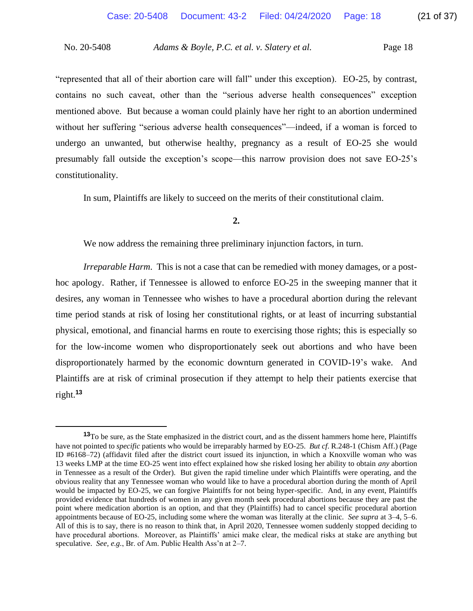"represented that all of their abortion care will fall" under this exception). EO-25, by contrast, contains no such caveat, other than the "serious adverse health consequences" exception mentioned above. But because a woman could plainly have her right to an abortion undermined without her suffering "serious adverse health consequences"—indeed, if a woman is forced to undergo an unwanted, but otherwise healthy, pregnancy as a result of EO-25 she would presumably fall outside the exception's scope—this narrow provision does not save EO-25's constitutionality.

In sum, Plaintiffs are likely to succeed on the merits of their constitutional claim.

## **2.**

We now address the remaining three preliminary injunction factors, in turn.

*Irreparable Harm*. This is not a case that can be remedied with money damages, or a posthoc apology. Rather, if Tennessee is allowed to enforce EO-25 in the sweeping manner that it desires, any woman in Tennessee who wishes to have a procedural abortion during the relevant time period stands at risk of losing her constitutional rights, or at least of incurring substantial physical, emotional, and financial harms en route to exercising those rights; this is especially so for the low-income women who disproportionately seek out abortions and who have been disproportionately harmed by the economic downturn generated in COVID-19's wake. And Plaintiffs are at risk of criminal prosecution if they attempt to help their patients exercise that right.**<sup>13</sup>**

**<sup>13</sup>**To be sure, as the State emphasized in the district court, and as the dissent hammers home here, Plaintiffs have not pointed to *specific* patients who would be irreparably harmed by EO-25. *But cf*. R.248-1 (Chism Aff.) (Page ID #6168–72) (affidavit filed after the district court issued its injunction, in which a Knoxville woman who was 13 weeks LMP at the time EO-25 went into effect explained how she risked losing her ability to obtain *any* abortion in Tennessee as a result of the Order). But given the rapid timeline under which Plaintiffs were operating, and the obvious reality that any Tennessee woman who would like to have a procedural abortion during the month of April would be impacted by EO-25, we can forgive Plaintiffs for not being hyper-specific. And, in any event, Plaintiffs provided evidence that hundreds of women in any given month seek procedural abortions because they are past the point where medication abortion is an option, and that they (Plaintiffs) had to cancel specific procedural abortion appointments because of EO-25, including some where the woman was literally at the clinic. *See supra* at 3–4, 5–6. All of this is to say, there is no reason to think that, in April 2020, Tennessee women suddenly stopped deciding to have procedural abortions. Moreover, as Plaintiffs' amici make clear, the medical risks at stake are anything but speculative. *See, e.g.*, Br. of Am. Public Health Ass'n at 2–7.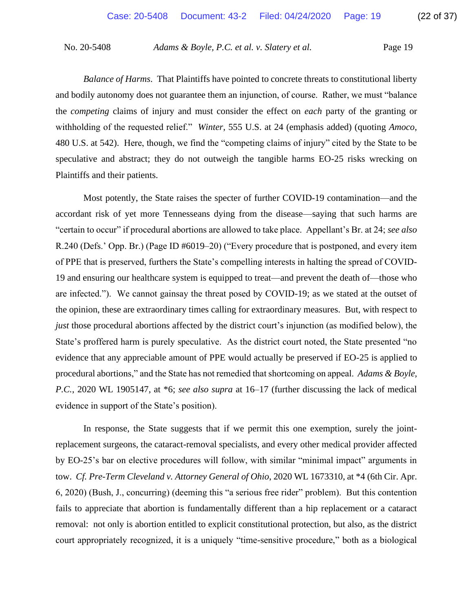*Balance of Harms*. That Plaintiffs have pointed to concrete threats to constitutional liberty and bodily autonomy does not guarantee them an injunction, of course. Rather, we must "balance the *competing* claims of injury and must consider the effect on *each* party of the granting or withholding of the requested relief." *Winter*, 555 U.S. at 24 (emphasis added) (quoting *Amoco*, 480 U.S. at 542). Here, though, we find the "competing claims of injury" cited by the State to be speculative and abstract; they do not outweigh the tangible harms EO-25 risks wrecking on Plaintiffs and their patients.

Most potently, the State raises the specter of further COVID-19 contamination—and the accordant risk of yet more Tennesseans dying from the disease—saying that such harms are "certain to occur" if procedural abortions are allowed to take place. Appellant's Br. at 24; *see also* R.240 (Defs.' Opp. Br.) (Page ID #6019–20) ("Every procedure that is postponed, and every item of PPE that is preserved, furthers the State's compelling interests in halting the spread of COVID-19 and ensuring our healthcare system is equipped to treat—and prevent the death of—those who are infected."). We cannot gainsay the threat posed by COVID-19; as we stated at the outset of the opinion, these are extraordinary times calling for extraordinary measures. But, with respect to *just* those procedural abortions affected by the district court's injunction (as modified below), the State's proffered harm is purely speculative. As the district court noted, the State presented "no evidence that any appreciable amount of PPE would actually be preserved if EO-25 is applied to procedural abortions," and the State has not remedied that shortcoming on appeal. *Adams & Boyle, P.C.*, 2020 WL 1905147, at \*6; *see also supra* at 16–17 (further discussing the lack of medical evidence in support of the State's position).

In response, the State suggests that if we permit this one exemption, surely the jointreplacement surgeons, the cataract-removal specialists, and every other medical provider affected by EO-25's bar on elective procedures will follow, with similar "minimal impact" arguments in tow. *Cf. Pre-Term Cleveland v. Attorney General of Ohio*, 2020 WL 1673310, at \*4 (6th Cir. Apr. 6, 2020) (Bush, J., concurring) (deeming this "a serious free rider" problem). But this contention fails to appreciate that abortion is fundamentally different than a hip replacement or a cataract removal: not only is abortion entitled to explicit constitutional protection, but also, as the district court appropriately recognized, it is a uniquely "time-sensitive procedure," both as a biological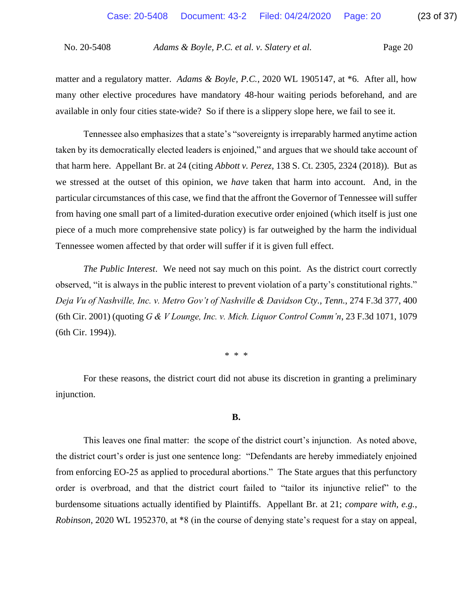matter and a regulatory matter. *Adams & Boyle, P.C.*, 2020 WL 1905147, at \*6. After all, how many other elective procedures have mandatory 48-hour waiting periods beforehand, and are available in only four cities state-wide? So if there is a slippery slope here, we fail to see it.

Tennessee also emphasizes that a state's "sovereignty is irreparably harmed anytime action taken by its democratically elected leaders is enjoined," and argues that we should take account of that harm here. Appellant Br. at 24 (citing *Abbott v. Perez*, 138 S. Ct. 2305, 2324 (2018)). But as we stressed at the outset of this opinion, we *have* taken that harm into account. And, in the particular circumstances of this case, we find that the affront the Governor of Tennessee will suffer from having one small part of a limited-duration executive order enjoined (which itself is just one piece of a much more comprehensive state policy) is far outweighed by the harm the individual Tennessee women affected by that order will suffer if it is given full effect.

*The Public Interest*. We need not say much on this point. As the district court correctly observed, "it is always in the public interest to prevent violation of a party's constitutional rights." *Deja Vu of Nashville, Inc. v. Metro Gov't of Nashville & Davidson Cty., Tenn.*, 274 F.3d 377, 400 (6th Cir. 2001) (quoting *G & V Lounge, Inc. v. Mich. Liquor Control Comm'n*, 23 F.3d 1071, 1079 (6th Cir. 1994)).

\* \* \*

For these reasons, the district court did not abuse its discretion in granting a preliminary injunction.

#### **B.**

This leaves one final matter: the scope of the district court's injunction. As noted above, the district court's order is just one sentence long: "Defendants are hereby immediately enjoined from enforcing EO-25 as applied to procedural abortions." The State argues that this perfunctory order is overbroad, and that the district court failed to "tailor its injunctive relief" to the burdensome situations actually identified by Plaintiffs. Appellant Br. at 21; *compare with, e.g.*, *Robinson*, 2020 WL 1952370, at \*8 (in the course of denying state's request for a stay on appeal,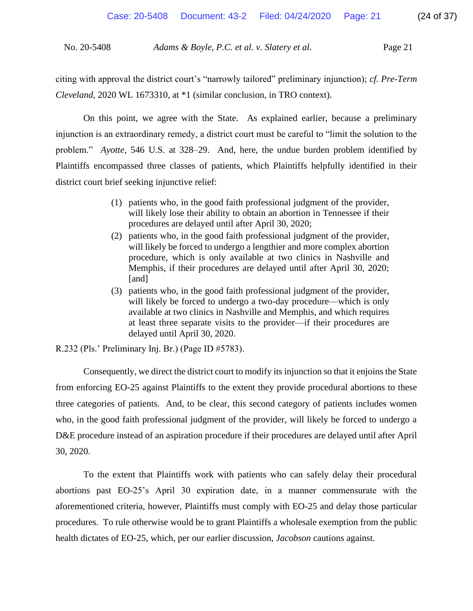citing with approval the district court's "narrowly tailored" preliminary injunction); *cf. Pre-Term Cleveland*, 2020 WL 1673310, at \*1 (similar conclusion, in TRO context).

On this point, we agree with the State. As explained earlier, because a preliminary injunction is an extraordinary remedy, a district court must be careful to "limit the solution to the problem." *Ayotte*, 546 U.S. at 328–29. And, here, the undue burden problem identified by Plaintiffs encompassed three classes of patients, which Plaintiffs helpfully identified in their district court brief seeking injunctive relief:

- (1) patients who, in the good faith professional judgment of the provider, will likely lose their ability to obtain an abortion in Tennessee if their procedures are delayed until after April 30, 2020;
- (2) patients who, in the good faith professional judgment of the provider, will likely be forced to undergo a lengthier and more complex abortion procedure, which is only available at two clinics in Nashville and Memphis, if their procedures are delayed until after April 30, 2020; [and]
- (3) patients who, in the good faith professional judgment of the provider, will likely be forced to undergo a two-day procedure—which is only available at two clinics in Nashville and Memphis, and which requires at least three separate visits to the provider—if their procedures are delayed until April 30, 2020.

R.232 (Pls.' Preliminary Inj. Br.) (Page ID #5783).

Consequently, we direct the district court to modify its injunction so that it enjoins the State from enforcing EO-25 against Plaintiffs to the extent they provide procedural abortions to these three categories of patients. And, to be clear, this second category of patients includes women who, in the good faith professional judgment of the provider, will likely be forced to undergo a D&E procedure instead of an aspiration procedure if their procedures are delayed until after April 30, 2020.

To the extent that Plaintiffs work with patients who can safely delay their procedural abortions past EO-25's April 30 expiration date, in a manner commensurate with the aforementioned criteria, however, Plaintiffs must comply with EO-25 and delay those particular procedures. To rule otherwise would be to grant Plaintiffs a wholesale exemption from the public health dictates of EO-25, which, per our earlier discussion, *Jacobson* cautions against.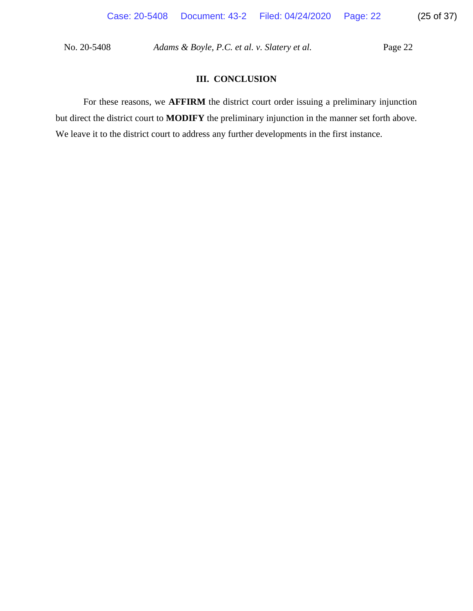# **III. CONCLUSION**

For these reasons, we **AFFIRM** the district court order issuing a preliminary injunction but direct the district court to **MODIFY** the preliminary injunction in the manner set forth above. We leave it to the district court to address any further developments in the first instance.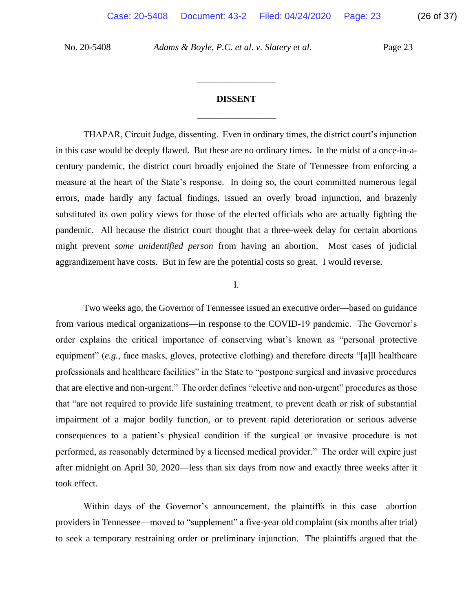# **DISSENT** \_\_\_\_\_\_\_\_\_\_\_\_\_\_\_\_\_

\_\_\_\_\_\_\_\_\_\_\_\_\_\_\_\_\_

THAPAR, Circuit Judge, dissenting. Even in ordinary times, the district court's injunction in this case would be deeply flawed. But these are no ordinary times. In the midst of a once-in-acentury pandemic, the district court broadly enjoined the State of Tennessee from enforcing a measure at the heart of the State's response. In doing so, the court committed numerous legal errors, made hardly any factual findings, issued an overly broad injunction, and brazenly substituted its own policy views for those of the elected officials who are actually fighting the pandemic. All because the district court thought that a three-week delay for certain abortions might prevent *some unidentified person* from having an abortion. Most cases of judicial aggrandizement have costs. But in few are the potential costs so great. I would reverse.

### I.

Two weeks ago, the Governor of Tennessee issued an executive order—based on guidance from various medical organizations—in response to the COVID-19 pandemic. The Governor's order explains the critical importance of conserving what's known as "personal protective equipment" (*e.g.*, face masks, gloves, protective clothing) and therefore directs "[a]ll healthcare professionals and healthcare facilities" in the State to "postpone surgical and invasive procedures that are elective and non-urgent." The order defines "elective and non-urgent" procedures as those that "are not required to provide life sustaining treatment, to prevent death or risk of substantial impairment of a major bodily function, or to prevent rapid deterioration or serious adverse consequences to a patient's physical condition if the surgical or invasive procedure is not performed, as reasonably determined by a licensed medical provider." The order will expire just after midnight on April 30, 2020—less than six days from now and exactly three weeks after it took effect.

Within days of the Governor's announcement, the plaintiffs in this case—abortion providers in Tennessee—moved to "supplement" a five-year old complaint (six months after trial) to seek a temporary restraining order or preliminary injunction. The plaintiffs argued that the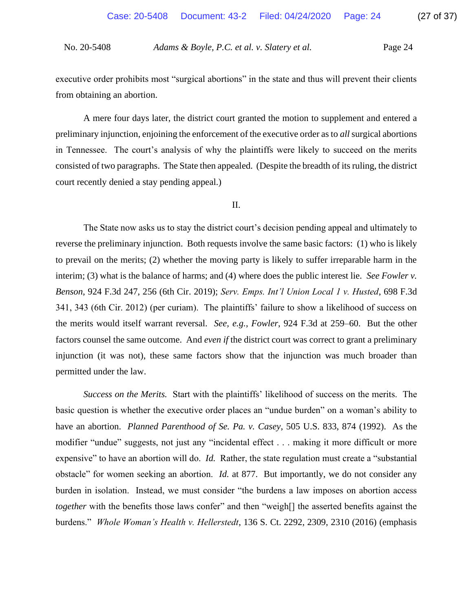executive order prohibits most "surgical abortions" in the state and thus will prevent their clients from obtaining an abortion.

A mere four days later, the district court granted the motion to supplement and entered a preliminary injunction, enjoining the enforcement of the executive order as to *all*surgical abortions in Tennessee. The court's analysis of why the plaintiffs were likely to succeed on the merits consisted of two paragraphs. The State then appealed. (Despite the breadth of its ruling, the district court recently denied a stay pending appeal.)

II.

The State now asks us to stay the district court's decision pending appeal and ultimately to reverse the preliminary injunction. Both requests involve the same basic factors: (1) who is likely to prevail on the merits; (2) whether the moving party is likely to suffer irreparable harm in the interim; (3) what is the balance of harms; and (4) where does the public interest lie. *See Fowler v. Benson*, 924 F.3d 247, 256 (6th Cir. 2019); *Serv. Emps. Int'l Union Local 1 v. Husted*, 698 F.3d 341, 343 (6th Cir. 2012) (per curiam). The plaintiffs' failure to show a likelihood of success on the merits would itself warrant reversal. *See, e.g.*, *Fowler*, 924 F.3d at 259–60. But the other factors counsel the same outcome. And *even if* the district court was correct to grant a preliminary injunction (it was not), these same factors show that the injunction was much broader than permitted under the law.

*Success on the Merits.* Start with the plaintiffs' likelihood of success on the merits. The basic question is whether the executive order places an "undue burden" on a woman's ability to have an abortion. *Planned Parenthood of Se. Pa. v. Casey*, 505 U.S. 833, 874 (1992). As the modifier "undue" suggests, not just any "incidental effect . . . making it more difficult or more expensive" to have an abortion will do. *Id.* Rather, the state regulation must create a "substantial obstacle" for women seeking an abortion. *Id.* at 877. But importantly, we do not consider any burden in isolation. Instead, we must consider "the burdens a law imposes on abortion access *together* with the benefits those laws confer" and then "weigh[] the asserted benefits against the burdens." *Whole Woman's Health v. Hellerstedt*, 136 S. Ct. 2292, 2309, 2310 (2016) (emphasis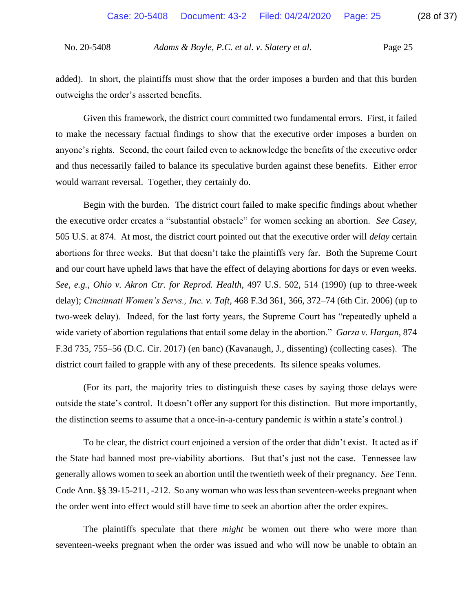added). In short, the plaintiffs must show that the order imposes a burden and that this burden outweighs the order's asserted benefits.

Given this framework, the district court committed two fundamental errors. First, it failed to make the necessary factual findings to show that the executive order imposes a burden on anyone's rights. Second, the court failed even to acknowledge the benefits of the executive order and thus necessarily failed to balance its speculative burden against these benefits. Either error would warrant reversal. Together, they certainly do.

Begin with the burden. The district court failed to make specific findings about whether the executive order creates a "substantial obstacle" for women seeking an abortion. *See Casey*, 505 U.S. at 874. At most, the district court pointed out that the executive order will *delay* certain abortions for three weeks. But that doesn't take the plaintiffs very far. Both the Supreme Court and our court have upheld laws that have the effect of delaying abortions for days or even weeks. *See, e.g.*, *Ohio v. Akron Ctr. for Reprod. Health*, 497 U.S. 502, 514 (1990) (up to three-week delay); *Cincinnati Women's Servs., Inc. v. Taft*, 468 F.3d 361, 366, 372–74 (6th Cir. 2006) (up to two-week delay). Indeed, for the last forty years, the Supreme Court has "repeatedly upheld a wide variety of abortion regulations that entail some delay in the abortion." *Garza v. Hargan*, 874 F.3d 735, 755–56 (D.C. Cir. 2017) (en banc) (Kavanaugh, J., dissenting) (collecting cases). The district court failed to grapple with any of these precedents. Its silence speaks volumes.

(For its part, the majority tries to distinguish these cases by saying those delays were outside the state's control. It doesn't offer any support for this distinction. But more importantly, the distinction seems to assume that a once-in-a-century pandemic *is* within a state's control.)

To be clear, the district court enjoined a version of the order that didn't exist. It acted as if the State had banned most pre-viability abortions. But that's just not the case. Tennessee law generally allows women to seek an abortion until the twentieth week of their pregnancy. *See* Tenn. Code Ann. §§ 39-15-211, -212. So any woman who was less than seventeen-weeks pregnant when the order went into effect would still have time to seek an abortion after the order expires.

The plaintiffs speculate that there *might* be women out there who were more than seventeen-weeks pregnant when the order was issued and who will now be unable to obtain an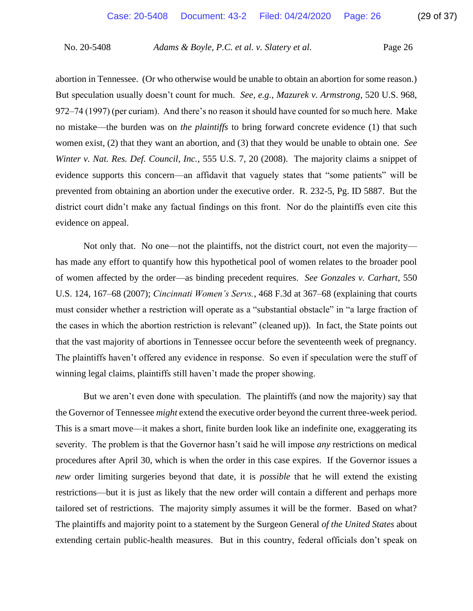abortion in Tennessee. (Or who otherwise would be unable to obtain an abortion for some reason.) But speculation usually doesn't count for much. *See, e.g.*, *Mazurek v. Armstrong*, 520 U.S. 968, 972–74 (1997) (per curiam). And there's no reason it should have counted for so much here. Make no mistake—the burden was on *the plaintiffs* to bring forward concrete evidence (1) that such women exist, (2) that they want an abortion, and (3) that they would be unable to obtain one. *See Winter v. Nat. Res. Def. Council, Inc.*, 555 U.S. 7, 20 (2008).The majority claims a snippet of evidence supports this concern—an affidavit that vaguely states that "some patients" will be prevented from obtaining an abortion under the executive order. R. 232-5, Pg. ID 5887. But the district court didn't make any factual findings on this front. Nor do the plaintiffs even cite this evidence on appeal.

Not only that. No one—not the plaintiffs, not the district court, not even the majority has made any effort to quantify how this hypothetical pool of women relates to the broader pool of women affected by the order—as binding precedent requires. *See Gonzales v. Carhart*, 550 U.S. 124, 167–68 (2007); *Cincinnati Women's Servs.*, 468 F.3d at 367–68 (explaining that courts must consider whether a restriction will operate as a "substantial obstacle" in "a large fraction of the cases in which the abortion restriction is relevant" (cleaned up)). In fact, the State points out that the vast majority of abortions in Tennessee occur before the seventeenth week of pregnancy. The plaintiffs haven't offered any evidence in response. So even if speculation were the stuff of winning legal claims, plaintiffs still haven't made the proper showing.

But we aren't even done with speculation. The plaintiffs (and now the majority) say that the Governor of Tennessee *might* extend the executive order beyond the current three-week period. This is a smart move—it makes a short, finite burden look like an indefinite one, exaggerating its severity. The problem is that the Governor hasn't said he will impose *any* restrictions on medical procedures after April 30, which is when the order in this case expires. If the Governor issues a *new* order limiting surgeries beyond that date, it is *possible* that he will extend the existing restrictions—but it is just as likely that the new order will contain a different and perhaps more tailored set of restrictions. The majority simply assumes it will be the former. Based on what? The plaintiffs and majority point to a statement by the Surgeon General *of the United States* about extending certain public-health measures. But in this country, federal officials don't speak on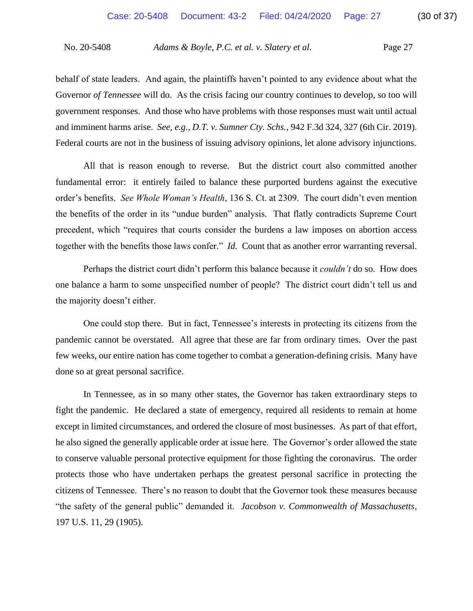behalf of state leaders. And again, the plaintiffs haven't pointed to any evidence about what the Governor *of Tennessee* will do. As the crisis facing our country continues to develop, so too will government responses. And those who have problems with those responses must wait until actual and imminent harms arise. *See, e.g.*, *D.T. v. Sumner Cty. Schs.*, 942 F.3d 324, 327 (6th Cir. 2019). Federal courts are not in the business of issuing advisory opinions, let alone advisory injunctions.

All that is reason enough to reverse. But the district court also committed another fundamental error: it entirely failed to balance these purported burdens against the executive order's benefits. *See Whole Woman's Health*, 136 S. Ct. at 2309. The court didn't even mention the benefits of the order in its "undue burden" analysis. That flatly contradicts Supreme Court precedent, which "requires that courts consider the burdens a law imposes on abortion access together with the benefits those laws confer." *Id.* Count that as another error warranting reversal.

Perhaps the district court didn't perform this balance because it *couldn't* do so. How does one balance a harm to some unspecified number of people? The district court didn't tell us and the majority doesn't either.

One could stop there. But in fact, Tennessee's interests in protecting its citizens from the pandemic cannot be overstated. All agree that these are far from ordinary times. Over the past few weeks, our entire nation has come together to combat a generation-defining crisis. Many have done so at great personal sacrifice.

In Tennessee, as in so many other states, the Governor has taken extraordinary steps to fight the pandemic. He declared a state of emergency, required all residents to remain at home except in limited circumstances, and ordered the closure of most businesses. As part of that effort, he also signed the generally applicable order at issue here. The Governor's order allowed the state to conserve valuable personal protective equipment for those fighting the coronavirus. The order protects those who have undertaken perhaps the greatest personal sacrifice in protecting the citizens of Tennessee. There's no reason to doubt that the Governor took these measures because "the safety of the general public" demanded it. *Jacobson v. Commonwealth of Massachusetts*, 197 U.S. 11, 29 (1905).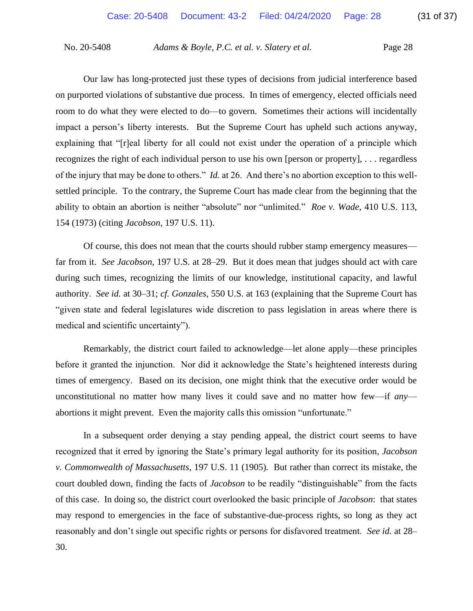Our law has long-protected just these types of decisions from judicial interference based on purported violations of substantive due process. In times of emergency, elected officials need room to do what they were elected to do—to govern. Sometimes their actions will incidentally impact a person's liberty interests. But the Supreme Court has upheld such actions anyway, explaining that "[r]eal liberty for all could not exist under the operation of a principle which recognizes the right of each individual person to use his own [person or property], . . . regardless of the injury that may be done to others." *Id.* at 26. And there's no abortion exception to this wellsettled principle. To the contrary, the Supreme Court has made clear from the beginning that the ability to obtain an abortion is neither "absolute" nor "unlimited." *Roe v. Wade*, 410 U.S. 113, 154 (1973) (citing *Jacobson*, 197 U.S. 11).

Of course, this does not mean that the courts should rubber stamp emergency measures far from it. *See Jacobson*, 197 U.S. at 28–29. But it does mean that judges should act with care during such times, recognizing the limits of our knowledge, institutional capacity, and lawful authority. *See id.* at 30–31; *cf. Gonzales*, 550 U.S. at 163 (explaining that the Supreme Court has "given state and federal legislatures wide discretion to pass legislation in areas where there is medical and scientific uncertainty").

Remarkably, the district court failed to acknowledge—let alone apply—these principles before it granted the injunction. Nor did it acknowledge the State's heightened interests during times of emergency. Based on its decision, one might think that the executive order would be unconstitutional no matter how many lives it could save and no matter how few—if *any* abortions it might prevent. Even the majority calls this omission "unfortunate."

In a subsequent order denying a stay pending appeal, the district court seems to have recognized that it erred by ignoring the State's primary legal authority for its position, *Jacobson v. Commonwealth of Massachusetts*, 197 U.S. 11 (1905)*.* But rather than correct its mistake, the court doubled down, finding the facts of *Jacobson* to be readily "distinguishable" from the facts of this case. In doing so, the district court overlooked the basic principle of *Jacobson*: that states may respond to emergencies in the face of substantive-due-process rights, so long as they act reasonably and don't single out specific rights or persons for disfavored treatment. *See id.* at 28– 30.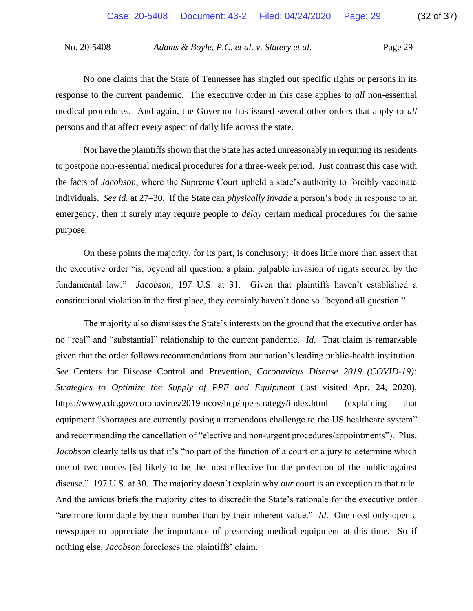No one claims that the State of Tennessee has singled out specific rights or persons in its response to the current pandemic. The executive order in this case applies to *all* non-essential medical procedures. And again, the Governor has issued several other orders that apply to *all*  persons and that affect every aspect of daily life across the state.

Nor have the plaintiffs shown that the State has acted unreasonably in requiring its residents to postpone non-essential medical procedures for a three-week period. Just contrast this case with the facts of *Jacobson*, where the Supreme Court upheld a state's authority to forcibly vaccinate individuals. *See id.* at 27–30. If the State can *physically invade* a person's body in response to an emergency, then it surely may require people to *delay* certain medical procedures for the same purpose.

On these points the majority, for its part, is conclusory: it does little more than assert that the executive order "is, beyond all question, a plain, palpable invasion of rights secured by the fundamental law." *Jacobson*, 197 U.S. at 31. Given that plaintiffs haven't established a constitutional violation in the first place, they certainly haven't done so "beyond all question."

The majority also dismisses the State's interests on the ground that the executive order has no "real" and "substantial" relationship to the current pandemic. *Id*. That claim is remarkable given that the order follows recommendations from our nation's leading public-health institution. *See* Centers for Disease Control and Prevention, *Coronavirus Disease 2019 (COVID-19): Strategies to Optimize the Supply of PPE and Equipment* (last visited Apr. 24, 2020), https://www.cdc.gov/coronavirus/2019-ncov/hcp/ppe-strategy/index.html (explaining that equipment "shortages are currently posing a tremendous challenge to the US healthcare system" and recommending the cancellation of "elective and non-urgent procedures/appointments"). Plus, *Jacobson* clearly tells us that it's "no part of the function of a court or a jury to determine which one of two modes [is] likely to be the most effective for the protection of the public against disease." 197 U.S. at 30. The majority doesn't explain why *our* court is an exception to that rule. And the amicus briefs the majority cites to discredit the State's rationale for the executive order "are more formidable by their number than by their inherent value." *Id*. One need only open a newspaper to appreciate the importance of preserving medical equipment at this time. So if nothing else, *Jacobson* forecloses the plaintiffs' claim.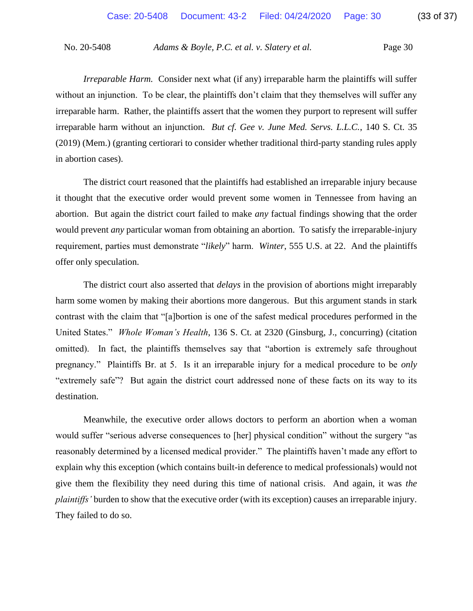*Irreparable Harm.* Consider next what (if any) irreparable harm the plaintiffs will suffer without an injunction. To be clear, the plaintiffs don't claim that they themselves will suffer any irreparable harm. Rather, the plaintiffs assert that the women they purport to represent will suffer irreparable harm without an injunction. *But cf. Gee v. June Med. Servs. L.L.C.*, 140 S. Ct. 35 (2019) (Mem.) (granting certiorari to consider whether traditional third-party standing rules apply in abortion cases).

The district court reasoned that the plaintiffs had established an irreparable injury because it thought that the executive order would prevent some women in Tennessee from having an abortion. But again the district court failed to make *any* factual findings showing that the order would prevent *any* particular woman from obtaining an abortion. To satisfy the irreparable-injury requirement, parties must demonstrate "*likely*" harm. *Winter*, 555 U.S. at 22. And the plaintiffs offer only speculation.

The district court also asserted that *delays* in the provision of abortions might irreparably harm some women by making their abortions more dangerous. But this argument stands in stark contrast with the claim that "[a]bortion is one of the safest medical procedures performed in the United States." *Whole Woman's Health*, 136 S. Ct. at 2320 (Ginsburg, J., concurring) (citation omitted). In fact, the plaintiffs themselves say that "abortion is extremely safe throughout pregnancy." Plaintiffs Br. at 5. Is it an irreparable injury for a medical procedure to be *only* "extremely safe"? But again the district court addressed none of these facts on its way to its destination.

Meanwhile, the executive order allows doctors to perform an abortion when a woman would suffer "serious adverse consequences to [her] physical condition" without the surgery "as reasonably determined by a licensed medical provider." The plaintiffs haven't made any effort to explain why this exception (which contains built-in deference to medical professionals) would not give them the flexibility they need during this time of national crisis. And again, it was *the plaintiffs'* burden to show that the executive order (with its exception) causes an irreparable injury. They failed to do so.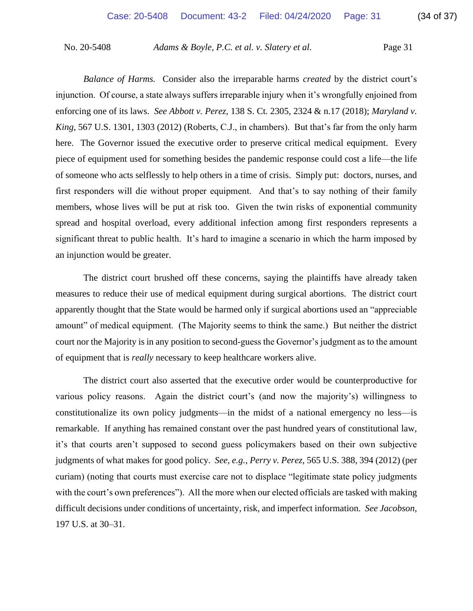*Balance of Harms.* Consider also the irreparable harms *created* by the district court's injunction. Of course, a state always suffers irreparable injury when it's wrongfully enjoined from enforcing one of its laws. *See Abbott v. Perez*, 138 S. Ct. 2305, 2324 & n.17 (2018); *Maryland v. King*, 567 U.S. 1301, 1303 (2012) (Roberts, C.J., in chambers). But that's far from the only harm here. The Governor issued the executive order to preserve critical medical equipment. Every piece of equipment used for something besides the pandemic response could cost a life—the life of someone who acts selflessly to help others in a time of crisis. Simply put: doctors, nurses, and first responders will die without proper equipment. And that's to say nothing of their family members, whose lives will be put at risk too. Given the twin risks of exponential community spread and hospital overload, every additional infection among first responders represents a significant threat to public health. It's hard to imagine a scenario in which the harm imposed by an injunction would be greater.

The district court brushed off these concerns, saying the plaintiffs have already taken measures to reduce their use of medical equipment during surgical abortions. The district court apparently thought that the State would be harmed only if surgical abortions used an "appreciable amount" of medical equipment. (The Majority seems to think the same.) But neither the district court nor the Majority is in any position to second-guess the Governor's judgment as to the amount of equipment that is *really* necessary to keep healthcare workers alive.

The district court also asserted that the executive order would be counterproductive for various policy reasons. Again the district court's (and now the majority's) willingness to constitutionalize its own policy judgments—in the midst of a national emergency no less—is remarkable. If anything has remained constant over the past hundred years of constitutional law, it's that courts aren't supposed to second guess policymakers based on their own subjective judgments of what makes for good policy. *See, e.g.*, *Perry v. Perez*, 565 U.S. 388, 394 (2012) (per curiam) (noting that courts must exercise care not to displace "legitimate state policy judgments with the court's own preferences"). All the more when our elected officials are tasked with making difficult decisions under conditions of uncertainty, risk, and imperfect information. *See Jacobson*, 197 U.S. at 30–31.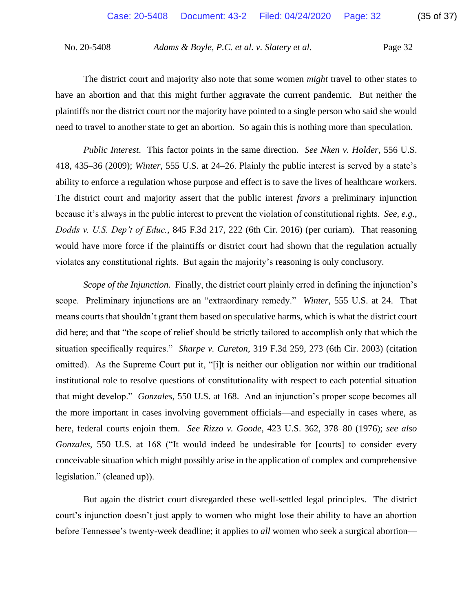The district court and majority also note that some women *might* travel to other states to have an abortion and that this might further aggravate the current pandemic. But neither the plaintiffs nor the district court nor the majority have pointed to a single person who said she would need to travel to another state to get an abortion. So again this is nothing more than speculation.

*Public Interest*. This factor points in the same direction. *See Nken v. Holder*, 556 U.S. 418, 435–36 (2009); *Winter*, 555 U.S. at 24–26. Plainly the public interest is served by a state's ability to enforce a regulation whose purpose and effect is to save the lives of healthcare workers. The district court and majority assert that the public interest *favors* a preliminary injunction because it's always in the public interest to prevent the violation of constitutional rights. *See, e.g.*, *Dodds v. U.S. Dep't of Educ.*, 845 F.3d 217, 222 (6th Cir. 2016) (per curiam). That reasoning would have more force if the plaintiffs or district court had shown that the regulation actually violates any constitutional rights. But again the majority's reasoning is only conclusory.

*Scope of the Injunction.* Finally, the district court plainly erred in defining the injunction's scope. Preliminary injunctions are an "extraordinary remedy." *Winter*, 555 U.S. at 24. That means courts that shouldn't grant them based on speculative harms, which is what the district court did here; and that "the scope of relief should be strictly tailored to accomplish only that which the situation specifically requires." *Sharpe v. Cureton*, 319 F.3d 259, 273 (6th Cir. 2003) (citation omitted). As the Supreme Court put it, "[i]t is neither our obligation nor within our traditional institutional role to resolve questions of constitutionality with respect to each potential situation that might develop." *Gonzales*, 550 U.S. at 168.And an injunction's proper scope becomes all the more important in cases involving government officials—and especially in cases where, as here, federal courts enjoin them. *See Rizzo v. Goode*, 423 U.S. 362, 378–80 (1976); *see also Gonzales*, 550 U.S. at 168 ("It would indeed be undesirable for [courts] to consider every conceivable situation which might possibly arise in the application of complex and comprehensive legislation." (cleaned up)).

But again the district court disregarded these well-settled legal principles. The district court's injunction doesn't just apply to women who might lose their ability to have an abortion before Tennessee's twenty-week deadline; it applies to *all* women who seek a surgical abortion—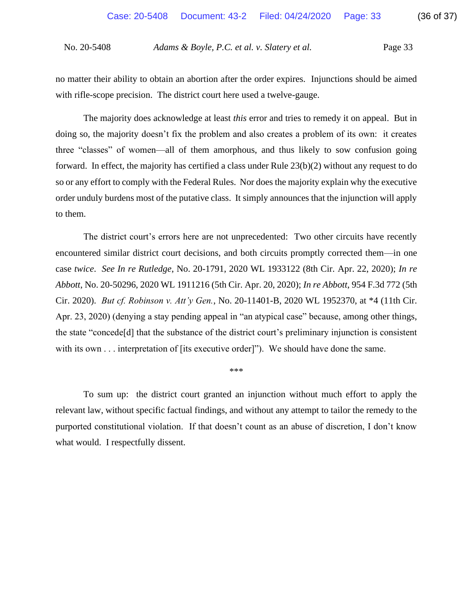no matter their ability to obtain an abortion after the order expires. Injunctions should be aimed with rifle-scope precision. The district court here used a twelve-gauge.

The majority does acknowledge at least *this* error and tries to remedy it on appeal. But in doing so, the majority doesn't fix the problem and also creates a problem of its own: it creates three "classes" of women—all of them amorphous, and thus likely to sow confusion going forward. In effect, the majority has certified a class under Rule 23(b)(2) without any request to do so or any effort to comply with the Federal Rules. Nor does the majority explain why the executive order unduly burdens most of the putative class. It simply announces that the injunction will apply to them.

The district court's errors here are not unprecedented: Two other circuits have recently encountered similar district court decisions, and both circuits promptly corrected them—in one case *twice*. *See In re Rutledge*, No. 20-1791, 2020 WL 1933122 (8th Cir. Apr. 22, 2020); *In re Abbott*, No. 20-50296, 2020 WL 1911216 (5th Cir. Apr. 20, 2020); *In re Abbott*, 954 F.3d 772 (5th Cir. 2020). *But cf. Robinson v. Att'y Gen.*, No. 20-11401-B, 2020 WL 1952370, at \*4 (11th Cir. Apr. 23, 2020) (denying a stay pending appeal in "an atypical case" because, among other things, the state "concede[d] that the substance of the district court's preliminary injunction is consistent with its own . . . interpretation of [its executive order]"). We should have done the same.

\*\*\*

To sum up: the district court granted an injunction without much effort to apply the relevant law, without specific factual findings, and without any attempt to tailor the remedy to the purported constitutional violation. If that doesn't count as an abuse of discretion, I don't know what would. I respectfully dissent.